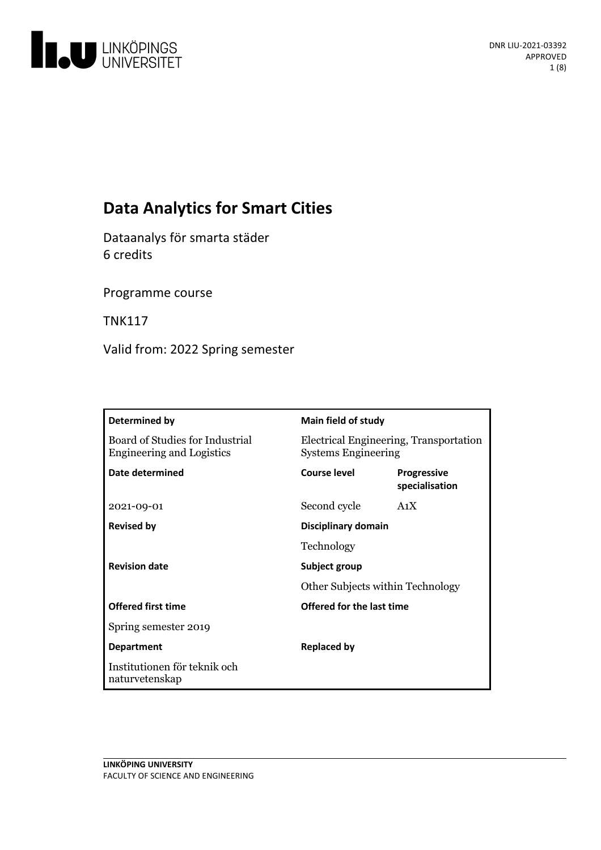

# **Data Analytics for Smart Cities**

Dataanalys för smarta städer 6 credits

Programme course

TNK117

Valid from: 2022 Spring semester

| Determined by                                                       | Main field of study                                                  |                                      |
|---------------------------------------------------------------------|----------------------------------------------------------------------|--------------------------------------|
| Board of Studies for Industrial<br><b>Engineering and Logistics</b> | Electrical Engineering, Transportation<br><b>Systems Engineering</b> |                                      |
| Date determined                                                     | Course level                                                         | <b>Progressive</b><br>specialisation |
| 2021-09-01                                                          | Second cycle                                                         | A <sub>1</sub> X                     |
| <b>Revised by</b>                                                   | Disciplinary domain                                                  |                                      |
|                                                                     | Technology                                                           |                                      |
| <b>Revision date</b>                                                | Subject group<br>Other Subjects within Technology                    |                                      |
|                                                                     |                                                                      |                                      |
| <b>Offered first time</b>                                           | <b>Offered for the last time</b>                                     |                                      |
| Spring semester 2019                                                |                                                                      |                                      |
| <b>Department</b>                                                   | <b>Replaced by</b>                                                   |                                      |
| Institutionen för teknik och<br>naturvetenskap                      |                                                                      |                                      |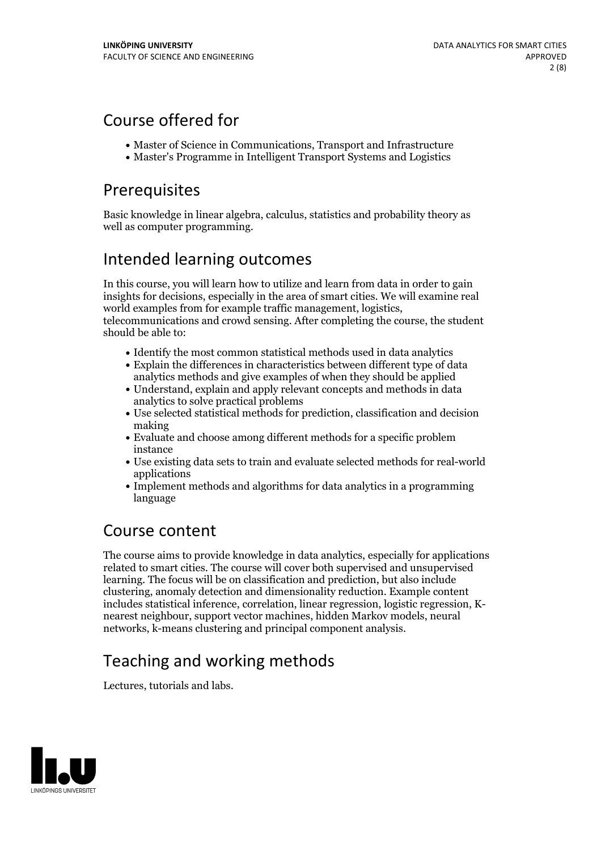## Course offered for

- Master of Science in Communications, Transport and Infrastructure
- Master's Programme in Intelligent Transport Systems and Logistics

## Prerequisites

Basic knowledge in linear algebra, calculus, statistics and probability theory as well as computer programming.

## Intended learning outcomes

In this course, you will learn how to utilize and learn from data in order to gain insights for decisions, especially in the area of smart cities. We will examine real world examples from for example traffic management, logistics, telecommunications and crowd sensing. After completing the course, the student should be able to:

- Identify the most common statistical methods used in data analytics
- Explain the differences in characteristics between different type of data analytics methods and give examples of when they should be applied
- Understand, explain and apply relevant concepts and methods in data analytics to solve practical problems
- Use selected statistical methods for prediction, classification and decision making
- Evaluate and choose among different methods for a specific problem instance
- Use existing data sets to train and evaluate selected methods for real-world applications
- Implement methods and algorithms for data analytics in a programming language

## Course content

The course aims to provide knowledge in data analytics, especially for applications related to smart cities. The course will cover both supervised and unsupervised learning. The focus will be on classification and prediction, but also include clustering, anomaly detection and dimensionality reduction. Example content includes statistical inference, correlation, linear regression, logistic regression, K- nearest neighbour, support vector machines, hidden Markov models, neural networks, k-means clustering and principal component analysis.

# Teaching and working methods

Lectures, tutorials and labs.

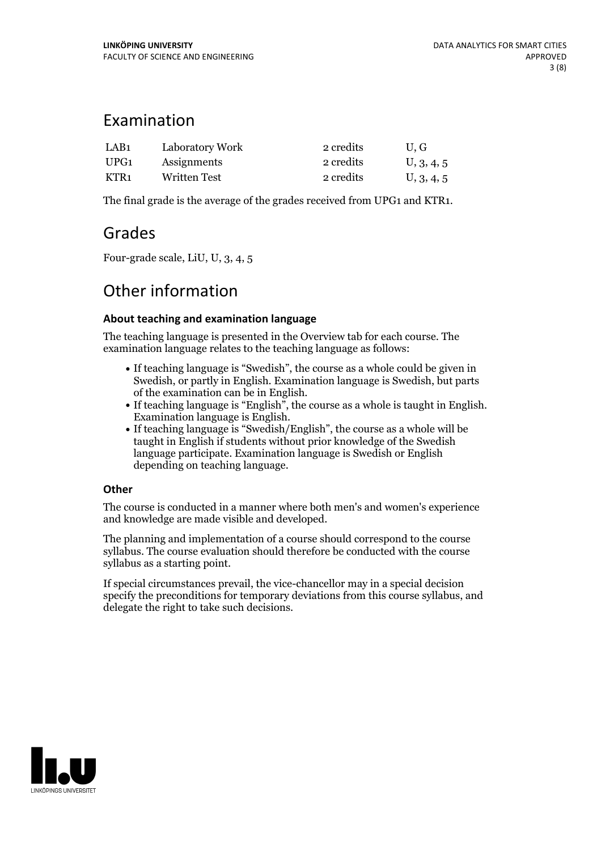## Examination

| LAB1 | Laboratory Work | 2 credits | U.G        |
|------|-----------------|-----------|------------|
| UPG1 | Assignments     | 2 credits | U, 3, 4, 5 |
| KTR1 | Written Test    | 2 credits | U, 3, 4, 5 |

The final grade is the average of the grades received from UPG1 and KTR1.

## Grades

Four-grade scale, LiU, U, 3, 4, 5

## Other information

### **About teaching and examination language**

The teaching language is presented in the Overview tab for each course. The examination language relates to the teaching language as follows:

- If teaching language is "Swedish", the course as a whole could be given in Swedish, or partly in English. Examination language is Swedish, but parts
- If teaching language is "English", the course as a whole is taught in English. Examination language is English. If teaching language is "Swedish/English", the course as a whole will be
- taught in English if students without prior knowledge of the Swedish language participate. Examination language is Swedish or English depending on teaching language.

### **Other**

The course is conducted in a manner where both men's and women's experience and knowledge are made visible and developed.

The planning and implementation of a course should correspond to the course syllabus. The course evaluation should therefore be conducted with the course syllabus as a starting point.

If special circumstances prevail, the vice-chancellor may in a special decision specify the preconditions for temporary deviations from this course syllabus, and delegate the right to take such decisions.

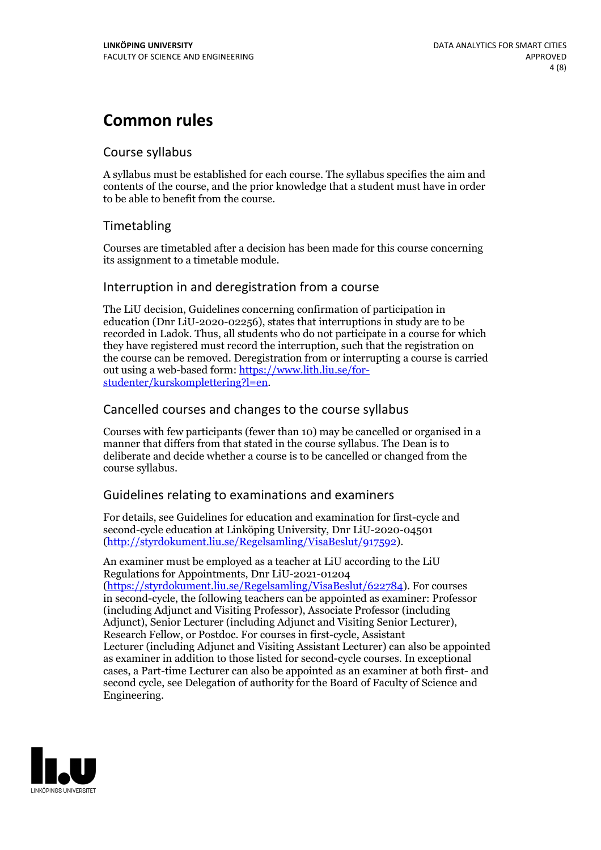## **Common rules**

### Course syllabus

A syllabus must be established for each course. The syllabus specifies the aim and contents of the course, and the prior knowledge that a student must have in order to be able to benefit from the course.

## Timetabling

Courses are timetabled after a decision has been made for this course concerning its assignment to a timetable module.

### Interruption in and deregistration from a course

The LiU decision, Guidelines concerning confirmation of participation in education (Dnr LiU-2020-02256), states that interruptions in study are to be recorded in Ladok. Thus, all students who do not participate in a course for which they have registered must record the interruption, such that the registration on the course can be removed. Deregistration from or interrupting a course is carried out using <sup>a</sup> web-based form: https://www.lith.liu.se/for- [studenter/kurskomplettering?l=en.](https://www.lith.liu.se/for-studenter/kurskomplettering?l=en)

## Cancelled courses and changes to the course syllabus

Courses with few participants (fewer than 10) may be cancelled or organised in a manner that differs from that stated in the course syllabus. The Dean is to deliberate and decide whether a course is to be cancelled or changed from the course syllabus.

## Guidelines relating to examinations and examiners

For details, see Guidelines for education and examination for first-cycle and second-cycle education at Linköping University, Dnr LiU-2020-04501 [\(http://styrdokument.liu.se/Regelsamling/VisaBeslut/917592\)](http://styrdokument.liu.se/Regelsamling/VisaBeslut/917592).

An examiner must be employed as a teacher at LiU according to the LiU Regulations for Appointments, Dnr LiU-2021-01204 [\(https://styrdokument.liu.se/Regelsamling/VisaBeslut/622784](https://styrdokument.liu.se/Regelsamling/VisaBeslut/622784)). For courses in second-cycle, the following teachers can be appointed as examiner: Professor (including Adjunct and Visiting Professor), Associate Professor (including Adjunct), Senior Lecturer (including Adjunct and Visiting Senior Lecturer), Research Fellow, or Postdoc. For courses in first-cycle, Assistant Lecturer (including Adjunct and Visiting Assistant Lecturer) can also be appointed as examiner in addition to those listed for second-cycle courses. In exceptional cases, a Part-time Lecturer can also be appointed as an examiner at both first- and second cycle, see Delegation of authority for the Board of Faculty of Science and Engineering.

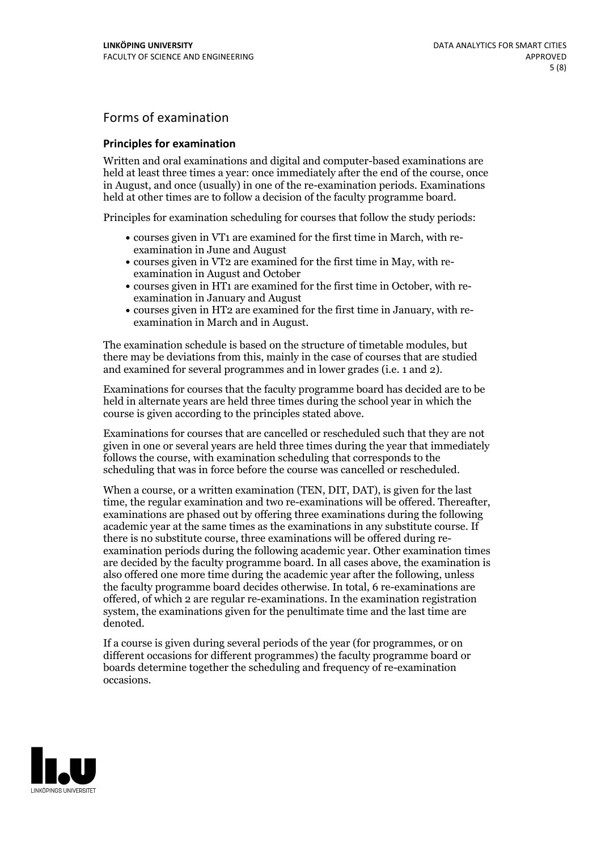## Forms of examination

#### **Principles for examination**

Written and oral examinations and digital and computer-based examinations are held at least three times a year: once immediately after the end of the course, once in August, and once (usually) in one of the re-examination periods. Examinations held at other times are to follow a decision of the faculty programme board.

Principles for examination scheduling for courses that follow the study periods:

- courses given in VT1 are examined for the first time in March, with re-examination in June and August
- courses given in VT2 are examined for the first time in May, with re-examination in August and October
- courses given in HT1 are examined for the first time in October, with re-examination in January and August
- courses given in HT2 are examined for the first time in January, with re-examination in March and in August.

The examination schedule is based on the structure of timetable modules, but there may be deviations from this, mainly in the case of courses that are studied and examined for several programmes and in lower grades (i.e. 1 and 2).

Examinations for courses that the faculty programme board has decided are to be held in alternate years are held three times during the school year in which the course is given according to the principles stated above.

Examinations for courses that are cancelled orrescheduled such that they are not given in one or several years are held three times during the year that immediately follows the course, with examination scheduling that corresponds to the scheduling that was in force before the course was cancelled or rescheduled.

When a course, or a written examination (TEN, DIT, DAT), is given for the last time, the regular examination and two re-examinations will be offered. Thereafter, examinations are phased out by offering three examinations during the following academic year at the same times as the examinations in any substitute course. If there is no substitute course, three examinations will be offered during re- examination periods during the following academic year. Other examination times are decided by the faculty programme board. In all cases above, the examination is also offered one more time during the academic year after the following, unless the faculty programme board decides otherwise. In total, 6 re-examinations are offered, of which 2 are regular re-examinations. In the examination registration system, the examinations given for the penultimate time and the last time are denoted.

If a course is given during several periods of the year (for programmes, or on different occasions for different programmes) the faculty programme board or boards determine together the scheduling and frequency of re-examination occasions.

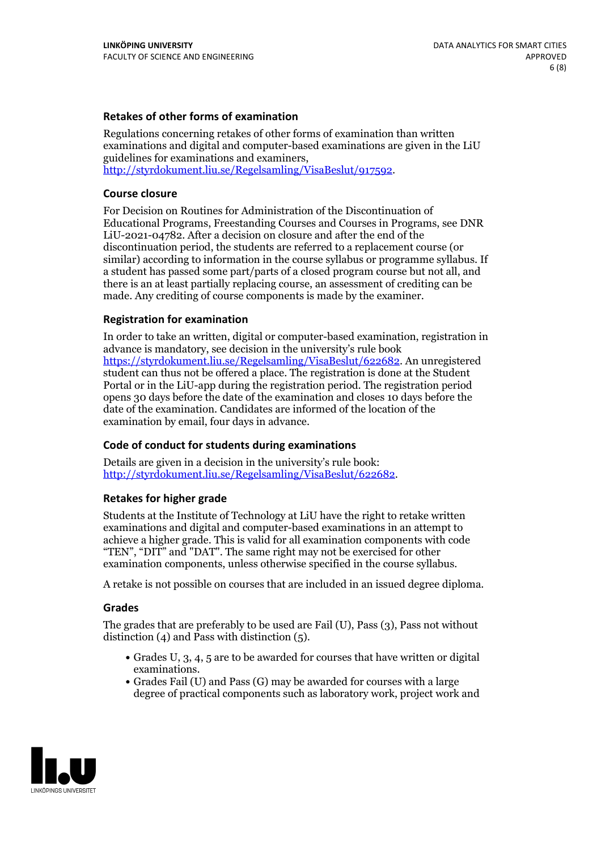#### **Retakes of other forms of examination**

Regulations concerning retakes of other forms of examination than written examinations and digital and computer-based examinations are given in the LiU guidelines for examinations and examiners, [http://styrdokument.liu.se/Regelsamling/VisaBeslut/917592.](http://styrdokument.liu.se/Regelsamling/VisaBeslut/917592)

#### **Course closure**

For Decision on Routines for Administration of the Discontinuation of Educational Programs, Freestanding Courses and Courses in Programs, see DNR LiU-2021-04782. After a decision on closure and after the end of the discontinuation period, the students are referred to a replacement course (or similar) according to information in the course syllabus or programme syllabus. If a student has passed some part/parts of a closed program course but not all, and there is an at least partially replacing course, an assessment of crediting can be made. Any crediting of course components is made by the examiner.

#### **Registration for examination**

In order to take an written, digital or computer-based examination, registration in advance is mandatory, see decision in the university's rule book [https://styrdokument.liu.se/Regelsamling/VisaBeslut/622682.](https://styrdokument.liu.se/Regelsamling/VisaBeslut/622682) An unregistered student can thus not be offered a place. The registration is done at the Student Portal or in the LiU-app during the registration period. The registration period opens 30 days before the date of the examination and closes 10 days before the date of the examination. Candidates are informed of the location of the examination by email, four days in advance.

#### **Code of conduct for students during examinations**

Details are given in a decision in the university's rule book: <http://styrdokument.liu.se/Regelsamling/VisaBeslut/622682>.

#### **Retakes for higher grade**

Students at the Institute of Technology at LiU have the right to retake written examinations and digital and computer-based examinations in an attempt to achieve a higher grade. This is valid for all examination components with code "TEN", "DIT" and "DAT". The same right may not be exercised for other examination components, unless otherwise specified in the course syllabus.

A retake is not possible on courses that are included in an issued degree diploma.

#### **Grades**

The grades that are preferably to be used are Fail (U), Pass (3), Pass not without distinction  $(4)$  and Pass with distinction  $(5)$ .

- Grades U, 3, 4, 5 are to be awarded for courses that have written or digital examinations.<br>• Grades Fail (U) and Pass (G) may be awarded for courses with a large
- degree of practical components such as laboratory work, project work and

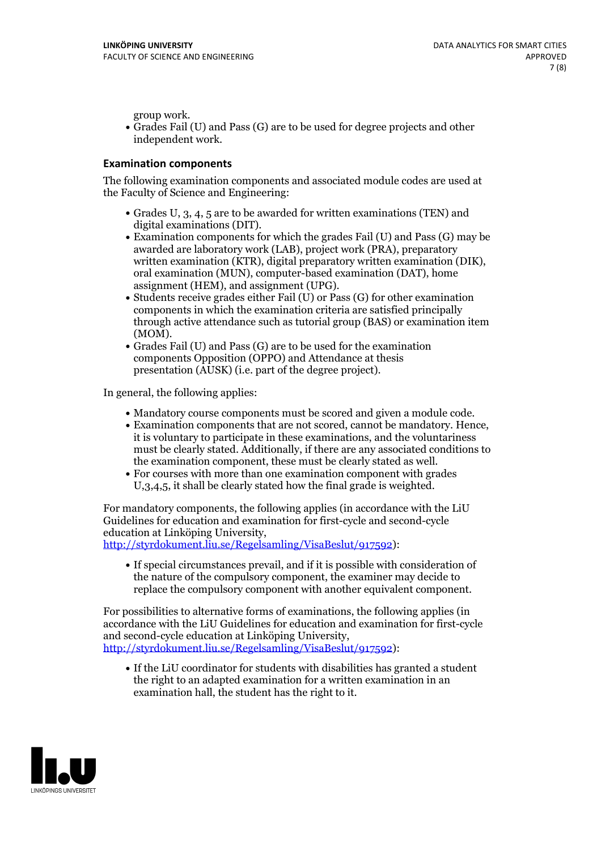group work.<br>• Grades Fail (U) and Pass (G) are to be used for degree projects and other independent work.

#### **Examination components**

The following examination components and associated module codes are used at the Faculty of Science and Engineering:

- Grades U, 3, 4, 5 are to be awarded for written examinations (TEN) and
- digital examinations (DIT).<br>• Examination components for which the grades Fail (U) and Pass (G) may be awarded are laboratory work (LAB), project work (PRA), preparatory written examination (KTR), digital preparatory written examination (DIK), oral examination (MUN), computer-based examination (DAT), home
- assignment (HEM), and assignment (UPG).<br>• Students receive grades either Fail (U) or Pass (G) for other examination components in which the examination criteria are satisfied principally through active attendance such as tutorial group (BAS) or examination item
- (MOM).<br>• Grades Fail (U) and Pass (G) are to be used for the examination components Opposition (OPPO) and Attendance at thesis presentation (AUSK) (i.e. part of the degree project).

In general, the following applies:

- 
- Mandatory course components must be scored and given <sup>a</sup> module code. Examination components that are not scored, cannot be mandatory. Hence, it is voluntary to participate in these examinations, and the voluntariness must be clearly stated. Additionally, if there are any associated conditions to
- the examination component, these must be clearly stated as well.<br>• For courses with more than one examination component with grades U,3,4,5, it shall be clearly stated how the final grade is weighted.

For mandatory components, the following applies (in accordance with the LiU Guidelines for education and examination for first-cycle and second-cycle education at Linköping University,<br>[http://styrdokument.liu.se/Regelsamling/VisaBeslut/917592\)](http://styrdokument.liu.se/Regelsamling/VisaBeslut/917592):

If special circumstances prevail, and if it is possible with consideration of the nature of the compulsory component, the examiner may decide to replace the compulsory component with another equivalent component.

For possibilities to alternative forms of examinations, the following applies (in accordance with the LiU Guidelines for education and examination for first-cycle [http://styrdokument.liu.se/Regelsamling/VisaBeslut/917592\)](http://styrdokument.liu.se/Regelsamling/VisaBeslut/917592):

If the LiU coordinator for students with disabilities has granted a student the right to an adapted examination for a written examination in an examination hall, the student has the right to it.